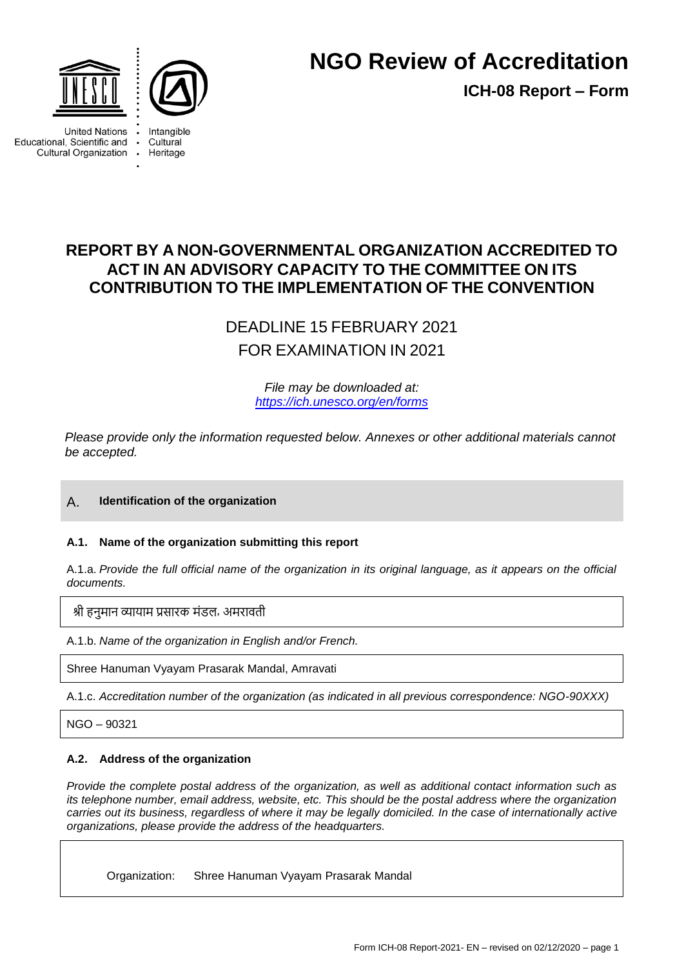



# **NGO Review of Accreditation**

**ICH-08 Report – Form**

**United Nations** Educational, Scientific and Cultural Organization .

Cultural Heritage



# **REPORT BY A NON-GOVERNMENTAL ORGANIZATION ACCREDITED TO ACT IN AN ADVISORY CAPACITY TO THE COMMITTEE ON ITS CONTRIBUTION TO THE IMPLEMENTATION OF THE CONVENTION**

DEADLINE 15 FEBRUARY 2021 FOR EXAMINATION IN 2021

> *File may be downloaded at: <https://ich.unesco.org/en/forms>*

*Please provide only the information requested below. Annexes or other additional materials cannot be accepted.*

# A. **Identification of the organization**

# **A.1. Name of the organization submitting this report**

A.1.a. *Provide the full official name of the organization in its original language, as it appears on the official documents.*

श्री हनुमान व्यायाम प्रसारक मंडल, अमरावती

A.1.b. *Name of the organization in English and/or French.*

Shree Hanuman Vyayam Prasarak Mandal, Amravati

A.1.c. *Accreditation number of the organization (as indicated in all previous correspondence: NGO-90XXX)*

NGO – 90321

# **A.2. Address of the organization**

*Provide the complete postal address of the organization, as well as additional contact information such as its telephone number, email address, website, etc. This should be the postal address where the organization carries out its business, regardless of where it may be legally domiciled. In the case of internationally active organizations, please provide the address of the headquarters.*

Organization: Shree Hanuman Vyayam Prasarak Mandal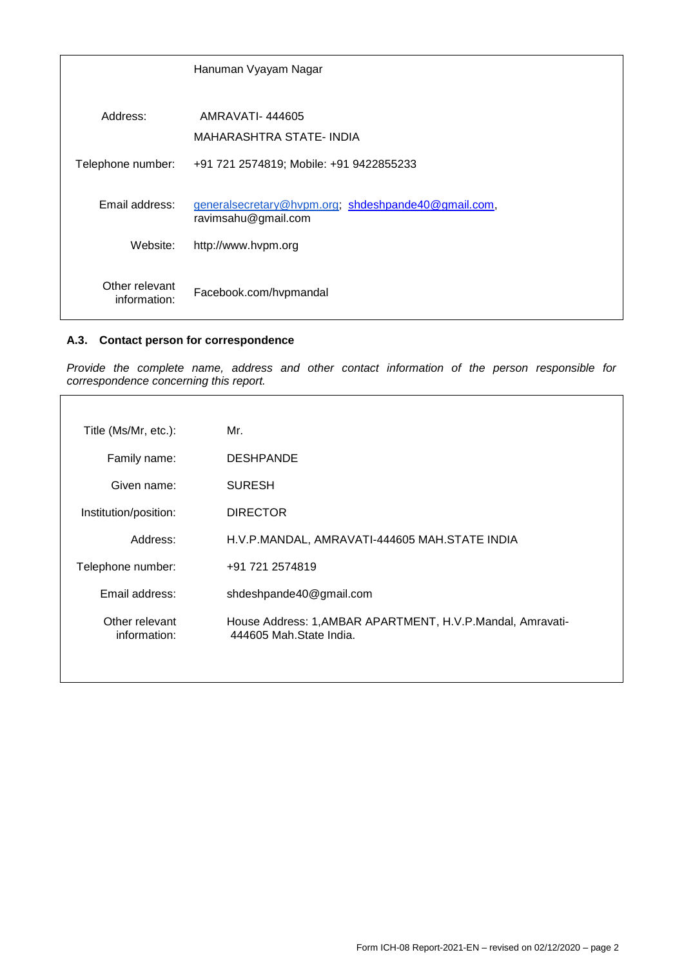|                                                                                              | Hanuman Vyayam Nagar                    |
|----------------------------------------------------------------------------------------------|-----------------------------------------|
|                                                                                              |                                         |
| Address:                                                                                     | AMRAVATI-444605                         |
|                                                                                              | MAHARASHTRA STATE-INDIA                 |
| Telephone number:                                                                            | +91 721 2574819; Mobile: +91 9422855233 |
| Email address:<br>generalsecretary@hvpm.org; shdeshpande40@gmail.com,<br>ravimsahu@gmail.com |                                         |
| Website:                                                                                     | http://www.hvpm.org                     |
| Other relevant<br>information:                                                               | Facebook.com/hvpmandal                  |

# **A.3. Contact person for correspondence**

*Provide the complete name, address and other contact information of the person responsible for correspondence concerning this report.*

| Title (Ms/Mr, etc.):           | Mr.                                                                                    |
|--------------------------------|----------------------------------------------------------------------------------------|
| Family name:                   | <b>DESHPANDE</b>                                                                       |
| Given name:                    | <b>SURESH</b>                                                                          |
| Institution/position:          | <b>DIRECTOR</b>                                                                        |
| Address:                       | H.V.P.MANDAL, AMRAVATI-444605 MAH.STATE INDIA                                          |
| Telephone number:              | +91 721 2574819                                                                        |
| Email address:                 | shdeshpande40@gmail.com                                                                |
| Other relevant<br>information: | House Address: 1, AMBAR APARTMENT, H.V.P. Mandal, Amravati-<br>444605 Mah.State India. |
|                                |                                                                                        |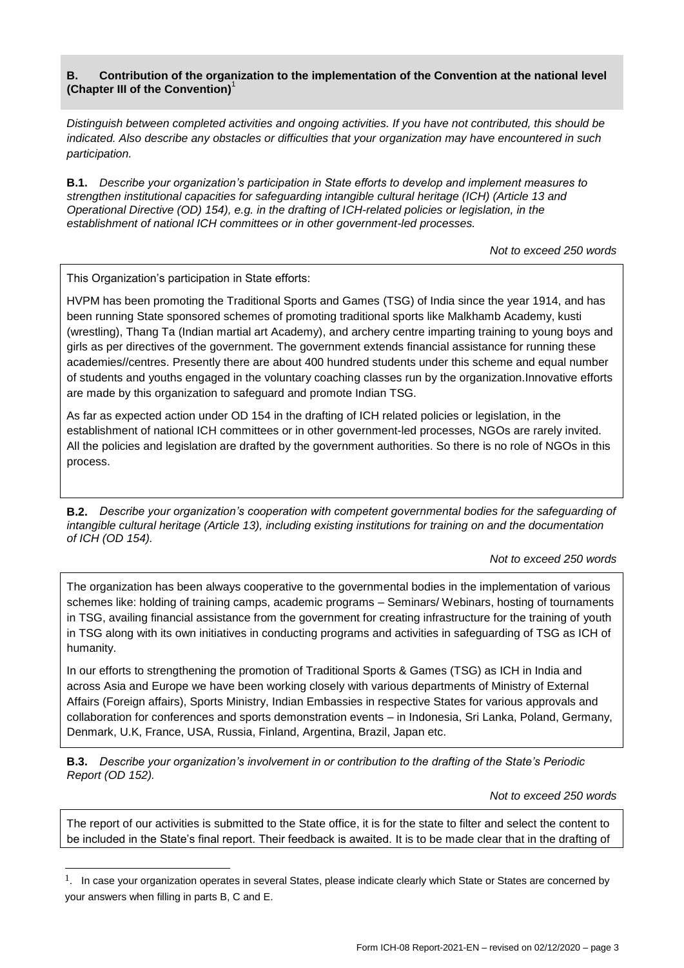# **B. Contribution of the organization to the implementation of the Convention at the national level (Chapter III of the Convention)**<sup>1</sup>

*Distinguish between completed activities and ongoing activities. If you have not contributed, this should be indicated. Also describe any obstacles or difficulties that your organization may have encountered in such participation.*

**B.1.** *Describe your organization's participation in State efforts to develop and implement measures to strengthen institutional capacities for safeguarding intangible cultural heritage (ICH) (Article 13 and Operational Directive (OD) 154), e.g. in the drafting of ICH-related policies or legislation, in the establishment of national ICH committees or in other government-led processes.*

*Not to exceed 250 words*

This Organization"s participation in State efforts:

 $\overline{a}$ 

HVPM has been promoting the Traditional Sports and Games (TSG) of India since the year 1914, and has been running State sponsored schemes of promoting traditional sports like Malkhamb Academy, kusti (wrestling), Thang Ta (Indian martial art Academy), and archery centre imparting training to young boys and girls as per directives of the government. The government extends financial assistance for running these academies//centres. Presently there are about 400 hundred students under this scheme and equal number of students and youths engaged in the voluntary coaching classes run by the organization.Innovative efforts are made by this organization to safeguard and promote Indian TSG.

As far as expected action under OD 154 in the drafting of ICH related policies or legislation, in the establishment of national ICH committees or in other government-led processes, NGOs are rarely invited. All the policies and legislation are drafted by the government authorities. So there is no role of NGOs in this process.

**B.2.** *Describe your organization's cooperation with competent governmental bodies for the safeguarding of intangible cultural heritage (Article 13), including existing institutions for training on and the documentation of ICH (OD 154).*

#### *Not to exceed 250 words*

The organization has been always cooperative to the governmental bodies in the implementation of various schemes like: holding of training camps, academic programs – Seminars/ Webinars, hosting of tournaments in TSG, availing financial assistance from the government for creating infrastructure for the training of youth in TSG along with its own initiatives in conducting programs and activities in safeguarding of TSG as ICH of humanity.

In our efforts to strengthening the promotion of Traditional Sports & Games (TSG) as ICH in India and across Asia and Europe we have been working closely with various departments of Ministry of External Affairs (Foreign affairs), Sports Ministry, Indian Embassies in respective States for various approvals and collaboration for conferences and sports demonstration events – in Indonesia, Sri Lanka, Poland, Germany, Denmark, U.K, France, USA, Russia, Finland, Argentina, Brazil, Japan etc.

**B.3.** *Describe your organization's involvement in or contribution to the drafting of the State's Periodic Report (OD 152).*

*Not to exceed 250 words*

The report of our activities is submitted to the State office, it is for the state to filter and select the content to be included in the State"s final report. Their feedback is awaited. It is to be made clear that in the drafting of

 $1.$  In case your organization operates in several States, please indicate clearly which State or States are concerned by your answers when filling in parts B, C and E.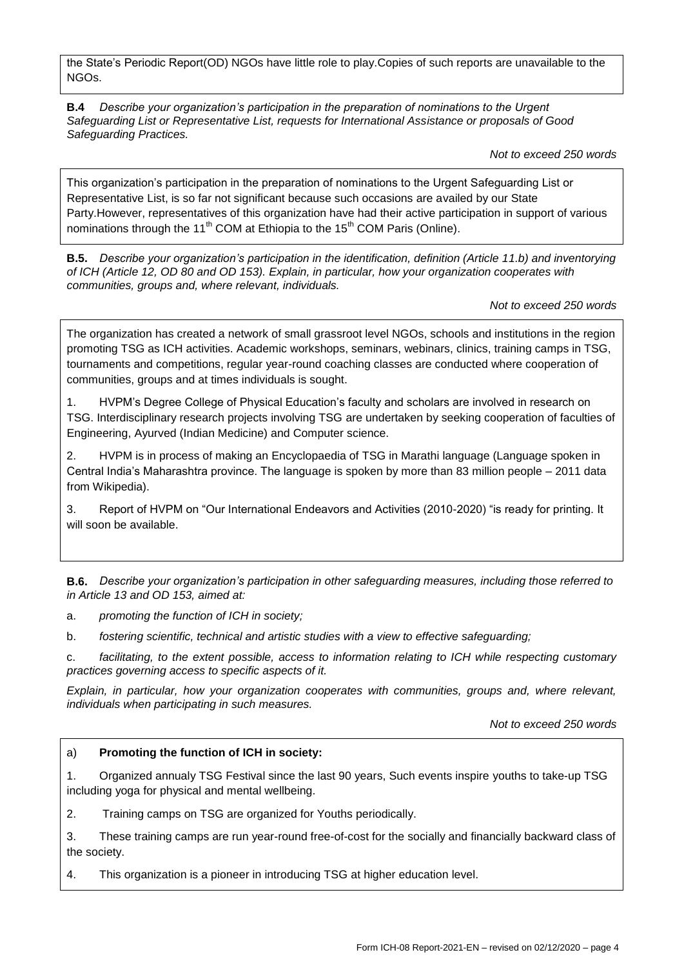the State"s Periodic Report(OD) NGOs have little role to play.Copies of such reports are unavailable to the NGOs.

**B.4** *Describe your organization's participation in the preparation of nominations to the Urgent Safeguarding List or Representative List, requests for International Assistance or proposals of Good Safeguarding Practices.*

*Not to exceed 250 words*

This organization"s participation in the preparation of nominations to the Urgent Safeguarding List or Representative List, is so far not significant because such occasions are availed by our State Party.However, representatives of this organization have had their active participation in support of various nominations through the 11<sup>th</sup> COM at Ethiopia to the 15<sup>th</sup> COM Paris (Online).

**B.5.** *Describe your organization's participation in the identification, definition (Article 11.b) and inventorying of ICH (Article 12, OD 80 and OD 153). Explain, in particular, how your organization cooperates with communities, groups and, where relevant, individuals.*

*Not to exceed 250 words*

The organization has created a network of small grassroot level NGOs, schools and institutions in the region promoting TSG as ICH activities. Academic workshops, seminars, webinars, clinics, training camps in TSG, tournaments and competitions, regular year-round coaching classes are conducted where cooperation of communities, groups and at times individuals is sought.

1. HVPM"s Degree College of Physical Education"s faculty and scholars are involved in research on TSG. Interdisciplinary research projects involving TSG are undertaken by seeking cooperation of faculties of Engineering, Ayurved (Indian Medicine) and Computer science.

2. HVPM is in process of making an Encyclopaedia of TSG in Marathi language (Language spoken in Central India"s Maharashtra province. The language is spoken by more than 83 million people – 2011 data from Wikipedia).

3. Report of HVPM on "Our International Endeavors and Activities (2010-2020) "is ready for printing. It will soon be available.

**B.6.** *Describe your organization's participation in other safeguarding measures, including those referred to in Article 13 and OD 153, aimed at:*

a. *promoting the function of ICH in society;*

b. *fostering scientific, technical and artistic studies with a view to effective safeguarding;*

c. *facilitating, to the extent possible, access to information relating to ICH while respecting customary practices governing access to specific aspects of it.*

*Explain, in particular, how your organization cooperates with communities, groups and, where relevant, individuals when participating in such measures.*

*Not to exceed 250 words*

#### a) **Promoting the function of ICH in society:**

1. Organized annualy TSG Festival since the last 90 years, Such events inspire youths to take-up TSG including yoga for physical and mental wellbeing.

2. Training camps on TSG are organized for Youths periodically.

3. These training camps are run year-round free-of-cost for the socially and financially backward class of the society.

4. This organization is a pioneer in introducing TSG at higher education level.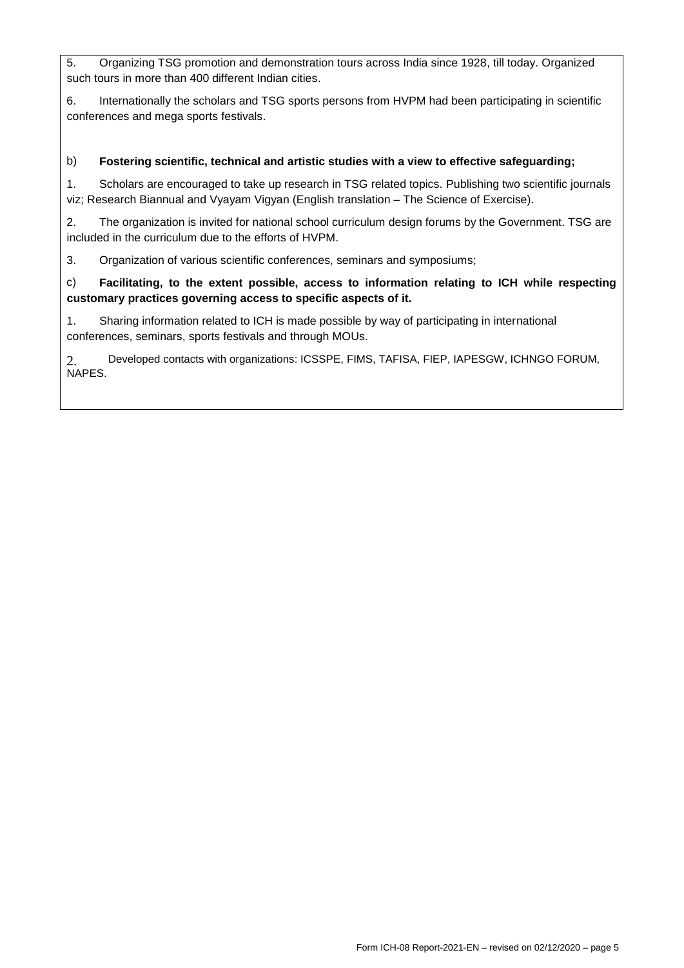5. Organizing TSG promotion and demonstration tours across India since 1928, till today. Organized such tours in more than 400 different Indian cities.

6. Internationally the scholars and TSG sports persons from HVPM had been participating in scientific conferences and mega sports festivals.

# b) **Fostering scientific, technical and artistic studies with a view to effective safeguarding;**

1. Scholars are encouraged to take up research in TSG related topics. Publishing two scientific journals viz; Research Biannual and Vyayam Vigyan (English translation – The Science of Exercise).

2. The organization is invited for national school curriculum design forums by the Government. TSG are included in the curriculum due to the efforts of HVPM.

3. Organization of various scientific conferences, seminars and symposiums;

# c) **Facilitating, to the extent possible, access to information relating to ICH while respecting customary practices governing access to specific aspects of it.**

1. Sharing information related to ICH is made possible by way of participating in international conferences, seminars, sports festivals and through MOUs.

2. Developed contacts with organizations: ICSSPE, FIMS, TAFISA, FIEP, IAPESGW, ICHNGO FORUM, NAPES.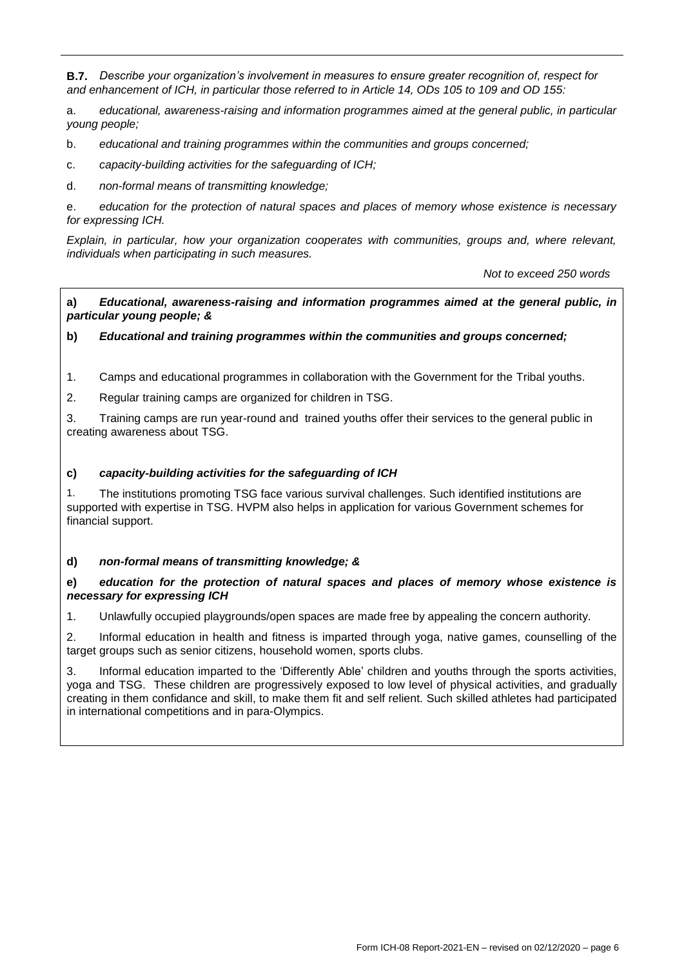**B.7.** *Describe your organization's involvement in measures to ensure greater recognition of, respect for and enhancement of ICH, in particular those referred to in Article 14, ODs 105 to 109 and OD 155:*

a. *educational, awareness-raising and information programmes aimed at the general public, in particular young people;*

b. *educational and training programmes within the communities and groups concerned;*

c. *capacity-building activities for the safeguarding of ICH;*

d. *non-formal means of transmitting knowledge;*

e. *education for the protection of natural spaces and places of memory whose existence is necessary for expressing ICH.*

*Explain, in particular, how your organization cooperates with communities, groups and, where relevant, individuals when participating in such measures.*

*Not to exceed 250 words*

**a)** *Educational, awareness-raising and information programmes aimed at the general public, in particular young people; &*

#### **b)** *Educational and training programmes within the communities and groups concerned;*

1. Camps and educational programmes in collaboration with the Government for the Tribal youths.

2. Regular training camps are organized for children in TSG.

3. Training camps are run year-round and trained youths offer their services to the general public in creating awareness about TSG.

#### **c)** *capacity-building activities for the safeguarding of ICH*

1. The institutions promoting TSG face various survival challenges. Such identified institutions are supported with expertise in TSG. HVPM also helps in application for various Government schemes for financial support.

#### **d)** *non-formal means of transmitting knowledge; &*

#### **e)** *education for the protection of natural spaces and places of memory whose existence is necessary for expressing ICH*

1. Unlawfully occupied playgrounds/open spaces are made free by appealing the concern authority.

2. Informal education in health and fitness is imparted through yoga, native games, counselling of the target groups such as senior citizens, household women, sports clubs.

3. Informal education imparted to the "Differently Able" children and youths through the sports activities, yoga and TSG. These children are progressively exposed to low level of physical activities, and gradually creating in them confidance and skill, to make them fit and self relient. Such skilled athletes had participated in international competitions and in para-Olympics.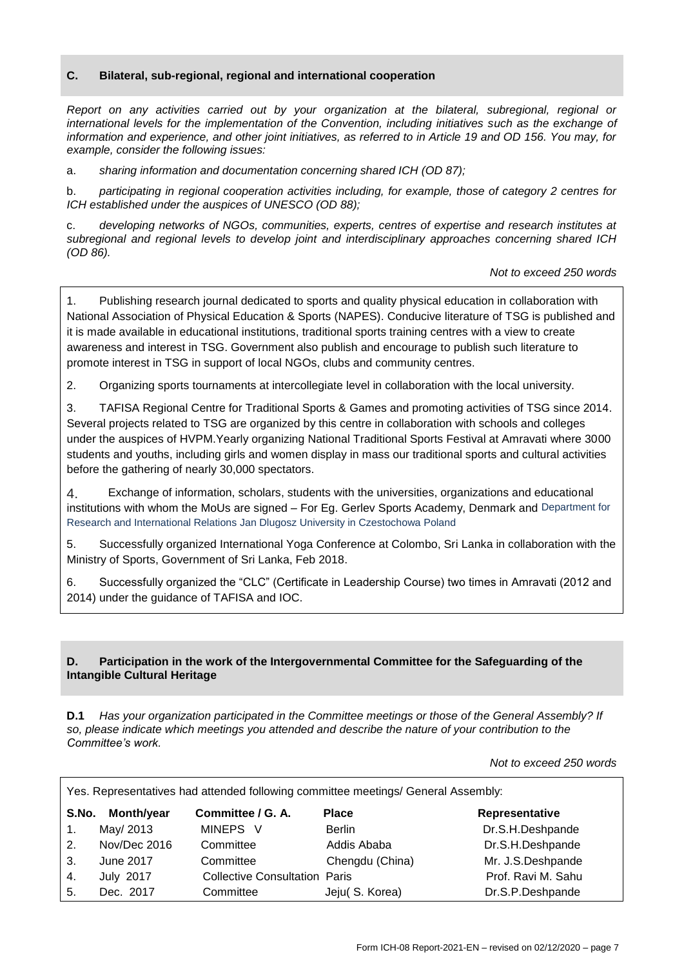#### **C. Bilateral, sub-regional, regional and international cooperation**

*Report on any activities carried out by your organization at the bilateral, subregional, regional or international levels for the implementation of the Convention, including initiatives such as the exchange of information and experience, and other joint initiatives, as referred to in Article 19 and OD 156. You may, for example, consider the following issues:*

a. *sharing information and documentation concerning shared ICH (OD 87);*

b. *participating in regional cooperation activities including, for example, those of category 2 centres for ICH established under the auspices of UNESCO (OD 88);*

c. *developing networks of NGOs, communities, experts, centres of expertise and research institutes at subregional and regional levels to develop joint and interdisciplinary approaches concerning shared ICH (OD 86).*

*Not to exceed 250 words*

1. Publishing research journal dedicated to sports and quality physical education in collaboration with National Association of Physical Education & Sports (NAPES). Conducive literature of TSG is published and it is made available in educational institutions, traditional sports training centres with a view to create awareness and interest in TSG. Government also publish and encourage to publish such literature to promote interest in TSG in support of local NGOs, clubs and community centres.

2. Organizing sports tournaments at intercollegiate level in collaboration with the local university.

3. TAFISA Regional Centre for Traditional Sports & Games and promoting activities of TSG since 2014. Several projects related to TSG are organized by this centre in collaboration with schools and colleges under the auspices of HVPM.Yearly organizing National Traditional Sports Festival at Amravati where 3000 students and youths, including girls and women display in mass our traditional sports and cultural activities before the gathering of nearly 30,000 spectators.

4. Exchange of information, scholars, students with the universities, organizations and educational institutions with whom the MoUs are signed – For Eg. Gerlev Sports Academy, Denmark and Department for Research and International Relations Jan Dlugosz University in Czestochowa Poland

5. Successfully organized International Yoga Conference at Colombo, Sri Lanka in collaboration with the Ministry of Sports, Government of Sri Lanka, Feb 2018.

6. Successfully organized the "CLC" (Certificate in Leadership Course) two times in Amravati (2012 and 2014) under the guidance of TAFISA and IOC.

#### **D. Participation in the work of the Intergovernmental Committee for the Safeguarding of the Intangible Cultural Heritage**

**D.1** *Has your organization participated in the Committee meetings or those of the General Assembly? If so, please indicate which meetings you attended and describe the nature of your contribution to the Committee's work.*

*Not to exceed 250 words*

| Yes. Representatives had attended following committee meetings/ General Assembly: |                  |                                      |                 |                    |  |  |
|-----------------------------------------------------------------------------------|------------------|--------------------------------------|-----------------|--------------------|--|--|
|                                                                                   | S.No. Month/year | Committee / G. A.                    | <b>Place</b>    | Representative     |  |  |
| $1_{\cdot}$                                                                       | May/ 2013        | MINEPS V                             | <b>Berlin</b>   | Dr.S.H.Deshpande   |  |  |
| 2.                                                                                | Nov/Dec 2016     | Committee                            | Addis Ababa     | Dr.S.H.Deshpande   |  |  |
| 3.                                                                                | June 2017        | Committee                            | Chengdu (China) | Mr. J.S.Deshpande  |  |  |
| 4.                                                                                | <b>July 2017</b> | <b>Collective Consultation Paris</b> |                 | Prof. Ravi M. Sahu |  |  |
| 5.                                                                                | Dec. 2017        | Committee                            | Jeju(S. Korea)  | Dr.S.P.Deshpande   |  |  |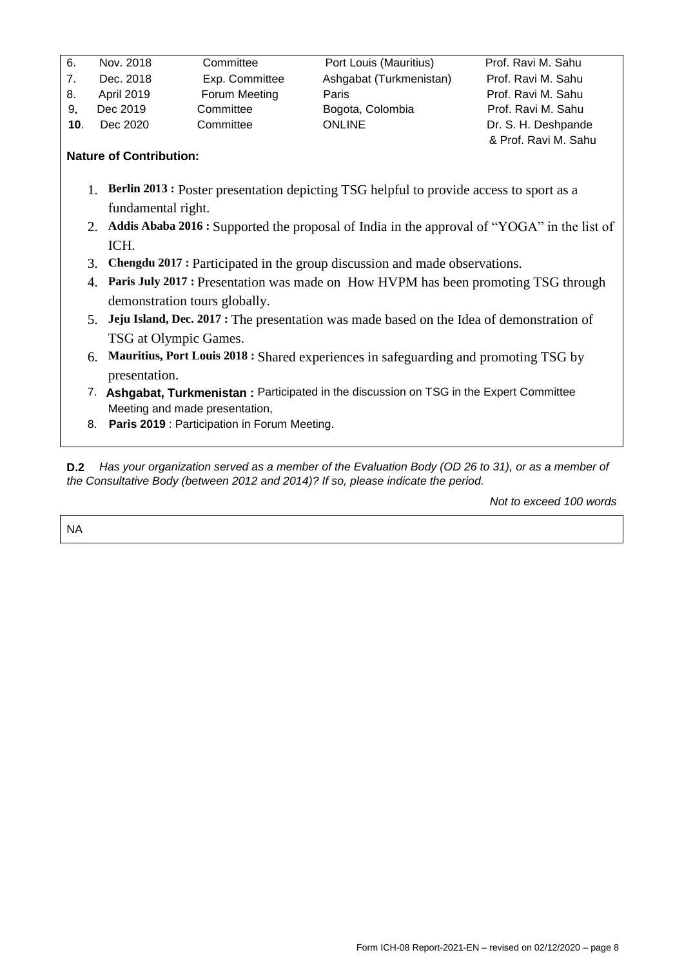| 6.              | Nov. 2018         | Committee      | Port Louis (Mauritius)  | Prof. Ravi M. Sahu   |
|-----------------|-------------------|----------------|-------------------------|----------------------|
| 7.              | Dec. 2018         | Exp. Committee | Ashgabat (Turkmenistan) | Prof. Ravi M. Sahu   |
| 8.              | <b>April 2019</b> | Forum Meeting  | Paris                   | Prof. Ravi M. Sahu   |
| 9.              | Dec 2019          | Committee      | Bogota, Colombia        | Prof. Ravi M. Sahu   |
| 10 <sub>1</sub> | Dec 2020          | Committee      | <b>ONLINE</b>           | Dr. S. H. Deshpande  |
|                 |                   |                |                         | & Prof. Ravi M. Sahu |

# **Nature of Contribution:**

- 1. **Berlin 2013 :** Poster presentation depicting TSG helpful to provide access to sport as a fundamental right.
- 2. **Addis Ababa 2016 :** Supported the proposal of India in the approval of "YOGA" in the list of ICH.
- 3. **Chengdu 2017 :** Participated in the group discussion and made observations.
- 4. **Paris July 2017 :** Presentation was made on How HVPM has been promoting TSG through demonstration tours globally.
- 5. **Jeju Island, Dec. 2017 :** The presentation was made based on the Idea of demonstration of TSG at Olympic Games.
- 6. **Mauritius, Port Louis 2018 :** Shared experiences in safeguarding and promoting TSG by presentation.
- 7. **Ashgabat, Turkmenistan :** Participated in the discussion on TSG in the Expert Committee Meeting and made presentation,
- 8. **Paris 2019** : Participation in Forum Meeting.

**D.2** *Has your organization served as a member of the Evaluation Body (OD 26 to 31), or as a member of the Consultative Body (between 2012 and 2014)? If so, please indicate the period.*

*Not to exceed 100 words*

NA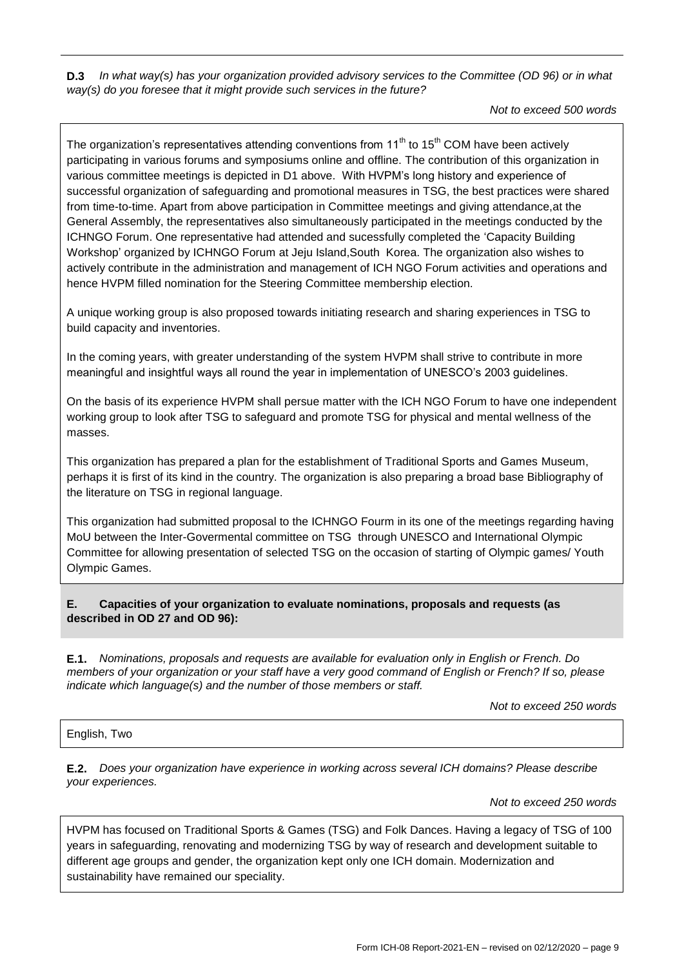**D.3** *In what way(s) has your organization provided advisory services to the Committee (OD 96) or in what way(s) do you foresee that it might provide such services in the future?*

*Not to exceed 500 words*

The organization's representatives attending conventions from  $11<sup>th</sup>$  to  $15<sup>th</sup>$  COM have been actively participating in various forums and symposiums online and offline. The contribution of this organization in various committee meetings is depicted in D1 above. With HVPM"s long history and experience of successful organization of safeguarding and promotional measures in TSG, the best practices were shared from time-to-time. Apart from above participation in Committee meetings and giving attendance,at the General Assembly, the representatives also simultaneously participated in the meetings conducted by the ICHNGO Forum. One representative had attended and sucessfully completed the "Capacity Building Workshop" organized by ICHNGO Forum at Jeju Island,South Korea. The organization also wishes to actively contribute in the administration and management of ICH NGO Forum activities and operations and hence HVPM filled nomination for the Steering Committee membership election.

A unique working group is also proposed towards initiating research and sharing experiences in TSG to build capacity and inventories.

In the coming years, with greater understanding of the system HVPM shall strive to contribute in more meaningful and insightful ways all round the year in implementation of UNESCO"s 2003 guidelines.

On the basis of its experience HVPM shall persue matter with the ICH NGO Forum to have one independent working group to look after TSG to safeguard and promote TSG for physical and mental wellness of the masses.

This organization has prepared a plan for the establishment of Traditional Sports and Games Museum, perhaps it is first of its kind in the country. The organization is also preparing a broad base Bibliography of the literature on TSG in regional language.

This organization had submitted proposal to the ICHNGO Fourm in its one of the meetings regarding having MoU between the Inter-Govermental committee on TSG through UNESCO and International Olympic Committee for allowing presentation of selected TSG on the occasion of starting of Olympic games/ Youth Olympic Games.

# **E. Capacities of your organization to evaluate nominations, proposals and requests (as described in OD 27 and OD 96):**

**E.1.** *Nominations, proposals and requests are available for evaluation only in English or French. Do members of your organization or your staff have a very good command of English or French? If so, please indicate which language(s) and the number of those members or staff.*

*Not to exceed 250 words*

#### English, Two

**E.2.** *Does your organization have experience in working across several ICH domains? Please describe your experiences.*

*Not to exceed 250 words*

HVPM has focused on Traditional Sports & Games (TSG) and Folk Dances. Having a legacy of TSG of 100 years in safeguarding, renovating and modernizing TSG by way of research and development suitable to different age groups and gender, the organization kept only one ICH domain. Modernization and sustainability have remained our speciality.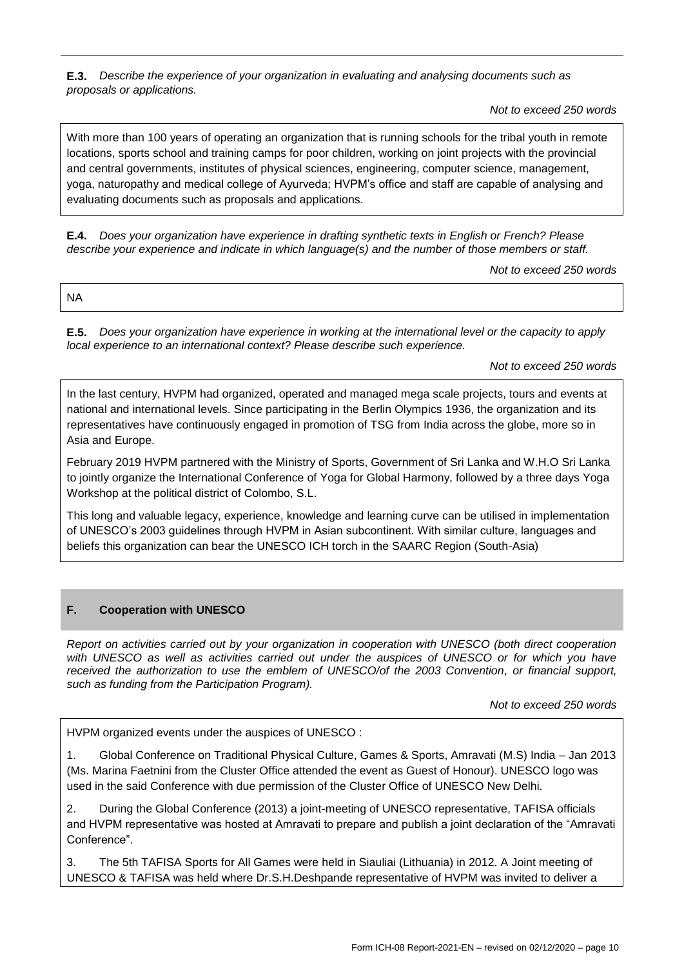**E.3.** *Describe the experience of your organization in evaluating and analysing documents such as proposals or applications.*

*Not to exceed 250 words*

With more than 100 years of operating an organization that is running schools for the tribal youth in remote locations, sports school and training camps for poor children, working on joint projects with the provincial and central governments, institutes of physical sciences, engineering, computer science, management, yoga, naturopathy and medical college of Ayurveda; HVPM"s office and staff are capable of analysing and evaluating documents such as proposals and applications.

**E.4.** *Does your organization have experience in drafting synthetic texts in English or French? Please describe your experience and indicate in which language(s) and the number of those members or staff.*

*Not to exceed 250 words*

NA

**E.5.** *Does your organization have experience in working at the international level or the capacity to apply local experience to an international context? Please describe such experience.*

*Not to exceed 250 words*

In the last century, HVPM had organized, operated and managed mega scale projects, tours and events at national and international levels. Since participating in the Berlin Olympics 1936, the organization and its representatives have continuously engaged in promotion of TSG from India across the globe, more so in Asia and Europe.

February 2019 HVPM partnered with the Ministry of Sports, Government of Sri Lanka and W.H.O Sri Lanka to jointly organize the International Conference of Yoga for Global Harmony, followed by a three days Yoga Workshop at the political district of Colombo, S.L.

This long and valuable legacy, experience, knowledge and learning curve can be utilised in implementation of UNESCO"s 2003 guidelines through HVPM in Asian subcontinent. With similar culture, languages and beliefs this organization can bear the UNESCO ICH torch in the SAARC Region (South-Asia)

# **F. Cooperation with UNESCO**

*Report on activities carried out by your organization in cooperation with UNESCO (both direct cooperation with UNESCO as well as activities carried out under the auspices of UNESCO or for which you have received the authorization to use the emblem of UNESCO/of the 2003 Convention, or financial support, such as funding from the Participation Program).*

*Not to exceed 250 words*

HVPM organized events under the auspices of UNESCO :

1. Global Conference on Traditional Physical Culture, Games & Sports, Amravati (M.S) India – Jan 2013 (Ms. Marina Faetnini from the Cluster Office attended the event as Guest of Honour). UNESCO logo was used in the said Conference with due permission of the Cluster Office of UNESCO New Delhi.

2. During the Global Conference (2013) a joint-meeting of UNESCO representative, TAFISA officials and HVPM representative was hosted at Amravati to prepare and publish a joint declaration of the "Amravati Conference".

3. The 5th TAFISA Sports for All Games were held in Siauliai (Lithuania) in 2012. A Joint meeting of UNESCO & TAFISA was held where Dr.S.H.Deshpande representative of HVPM was invited to deliver a